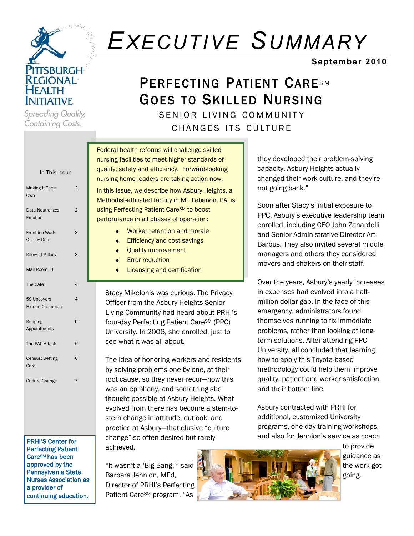

Spreading Quality, Containing Costs.

# *EXECUTIVE SUMMARY*

### **September 2010**

## PERFECTING PATIENT CARESM GOES TO SKILLED NURSING

SENIOR LIVING COMMUNITY

CHANGES ITS CULTURE

| In This Issue                                |                | nursing f<br>quality, s  |
|----------------------------------------------|----------------|--------------------------|
|                                              |                | nursing h                |
| Making It Their<br>Own                       | $\overline{2}$ | In this is:<br>Methodis  |
| <b>Data Neutralizes</b><br>Emotion           | $\overline{2}$ | using Pe<br>performa     |
| Frontline Work:<br>One by One                | 3              |                          |
| <b>Kilowatt Killers</b>                      | 3              |                          |
| Mail Room 3                                  |                |                          |
| The Café                                     | $\overline{4}$ |                          |
| <b>5S Uncovers</b><br><b>Hidden Champion</b> | $\overline{4}$ | Stacy<br>Office          |
| Keeping<br>Appointments                      | 5              | Living<br>four-<br>Unive |
| The PAC Attack                               | 6              | see v                    |
| Census: Getting<br>Care                      | 6              | The i<br>by so           |
| <b>Culture Change</b>                        | $\overline{7}$ | root o                   |
|                                              |                | was a<br>thoug           |

PRHI'S Center for Perfecting Patient CareSM has been approved by the Pennsylvania State Nurses Association as a provider of continuing education.

Federal health reforms will challenge skilled facilities to meet higher standards of afety and efficiency. Forward-looking nome leaders are taking action now.

sue, we describe how Asbury Heights, a st-affiliated facility in Mt. Lebanon, PA, is rfecting Patient Care<sup>SM</sup> to boost ance in all phases of operation:

- Worker retention and morale
- Efficiency and cost savings
- Quality improvement
- Error reduction
- Licensing and certification

/ Mikelonis was curious. The Privacy er from the Asbury Heights Senior g Community had heard about PRHI's day Perfecting Patient Care<sup>SM</sup> (PPC) ersity. In 2006, she enrolled, just to vhat it was all about.

dea of honoring workers and residents lying problems one by one, at their cause, so they never recur—now this an epiphany, and something she ght possible at Asbury Heights. What evolved from there has become a stem-tostern change in attitude, outlook, and practice at Asbury-that elusive "culture change" so often desired but rarely achieved.

"It wasn't a 'Big Bang,'" said Barbara Jennion, MEd, Director of PRHI's Perfecting Patient Care<sup>SM</sup> program. "As

they developed their problem-solving capacity, Asbury Heights actually changed their work culture, and they're

not going back.‖

Soon after Stacy's initial exposure to PPC, Asbury's executive leadership team enrolled, including CEO John Zanardelli and Senior Administrative Director Art Barbus. They also invited several middle managers and others they considered movers and shakers on their staff.

Over the years, Asbury's yearly increases in expenses had evolved into a halfmillion-dollar gap. In the face of this emergency, administrators found themselves running to fix immediate problems, rather than looking at longterm solutions. After attending PPC University, all concluded that learning how to apply this Toyota-based methodology could help them improve quality, patient and worker satisfaction, and their bottom line.

Asbury contracted with PRHI for additional, customized University programs, one-day training workshops, and also for Jennion's service as coach

> to provide guidance as the work got going.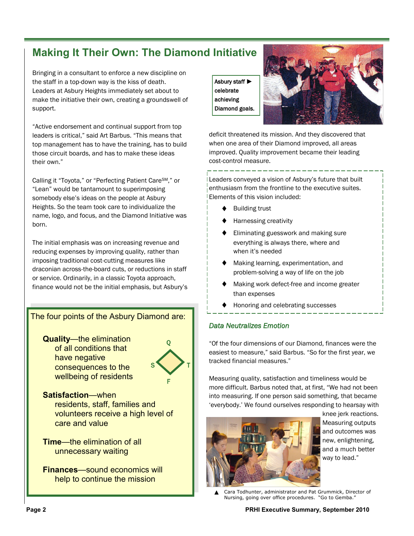### **Making It Their Own: The Diamond Initiative**

Bringing in a consultant to enforce a new discipline on the staff in a top-down way is the kiss of death. Leaders at Asbury Heights immediately set about to make the initiative their own, creating a groundswell of support.

―Active endorsement and continual support from top leaders is critical," said Art Barbus. "This means that top management has to have the training, has to build those circuit boards, and has to make these ideas their own."

Calling it "Toyota," or "Perfecting Patient CareSM," or "Lean" would be tantamount to superimposing somebody else's ideas on the people at Asbury Heights. So the team took care to individualize the name, logo, and focus, and the Diamond Initiative was born.

The initial emphasis was on increasing revenue and reducing expenses by improving quality, rather than imposing traditional cost-cutting measures like draconian across-the-board cuts, or reductions in staff or service. Ordinarily, in a classic Toyota approach, finance would not be the initial emphasis, but Asbury's

#### The four points of the Asbury Diamond are:

**Quality**—the elimination of all conditions that have negative consequences to the wellbeing of residents



**Satisfaction**—when residents, staff, families and volunteers receive a high level of care and value

**Time**—the elimination of all unnecessary waiting

**Finances**—sound economics will help to continue the mission

Asbury staff ► celebrate achieving Diamond goals.



deficit threatened its mission. And they discovered that when one area of their Diamond improved, all areas improved. Quality improvement became their leading cost-control measure.

Leaders conveyed a vision of Asbury's future that built enthusiasm from the frontline to the executive suites. Elements of this vision included:

- ♦ Building trust
- Harnessing creativity
- Eliminating guesswork and making sure everything is always there, where and when it's needed
- Making learning, experimentation, and problem-solving a way of life on the job
- Making work defect-free and income greater than expenses
- Honoring and celebrating successes

#### *Data Neutralizes Emotion*

―Of the four dimensions of our Diamond, finances were the easiest to measure," said Barbus. "So for the first year, we tracked financial measures."

Measuring quality, satisfaction and timeliness would be more difficult. Barbus noted that, at first, "We had not been into measuring. If one person said something, that became 'everybody.' We found ourselves responding to hearsay with



knee jerk reactions. Measuring outputs and outcomes was new, enlightening, and a much better way to lead."

Cara Todhunter, administrator and Pat Grummick, Director of Nursing, going over office procedures. "Go to Gemba." ▲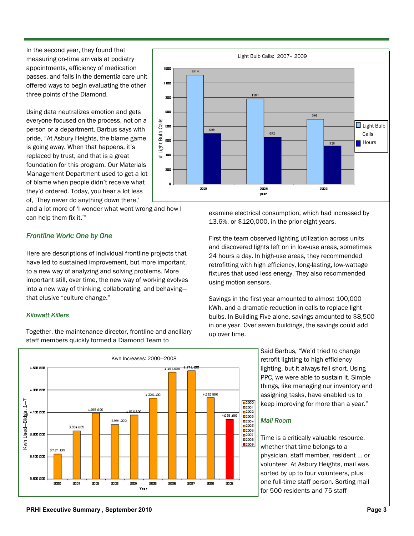In the second year, they found that measuring on-time arrivals at podiatry appointments, efficiency of medication passes, and falls in the dementia care unit offered ways to begin evaluating the other three points of the Diamond.

Using data neutralizes emotion and gets everyone focused on the process, not on a person or a department. Barbus says with pride, "At Asbury Heights, the blame game is going away. When that happens, it's replaced by trust, and that is a great foundation for this program. Our Materials Management Department used to get a lot of blame when people didn't receive what they'd ordered. Today, you hear a lot less of, 'They never do anything down there,'

and a lot more of 'I wonder what went wrong and how I can help them fix it."

#### *Frontline Work: One by One*

Here are descriptions of individual frontline projects that have led to sustained improvement, but more important, to a new way of analyzing and solving problems. More important still, over time, the new way of working evolves into a new way of thinking, collaborating, and behaving that elusive "culture change."

#### *Kilowatt Killers*

Together, the maintenance director, frontline and ancillary staff members quickly formed a Diamond Team to





examine electrical consumption, which had increased by 13.6%, or \$120,000, in the prior eight years.

First the team observed lighting utilization across units and discovered lights left on in low-use areas, sometimes 24 hours a day. In high-use areas, they recommended retrofitting with high efficiency, long-lasting, low-wattage fixtures that used less energy. They also recommended using motion sensors.

Savings in the first year amounted to almost 100,000 kWh, and a dramatic reduction in calls to replace light bulbs. In Building Five alone, savings amounted to \$8,500 in one year. Over seven buildings, the savings could add up over time.

> Said Barbus, "We'd tried to change retrofit lighting to high efficiency lighting, but it always fell short. Using PPC, we were able to sustain it. Simple things, like managing our inventory and assigning tasks, have enabled us to keep improving for more than a year."

#### *Mail Room*

Time is a critically valuable resource, whether that time belongs to a physician, staff member, resident … or volunteer. At Asbury Heights, mail was sorted by up to four volunteers, plus one full-time staff person. Sorting mail for 500 residents and 75 staff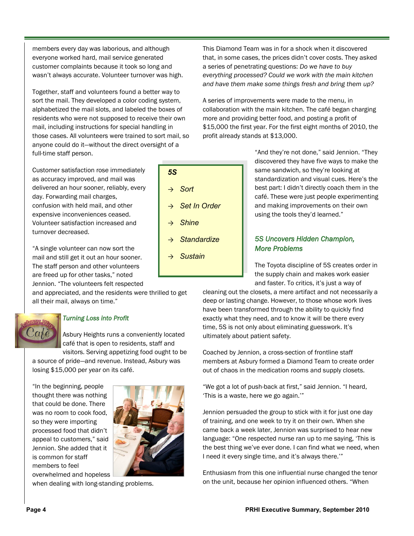members every day was laborious, and although everyone worked hard, mail service generated customer complaints because it took so long and wasn't always accurate. Volunteer turnover was high.

Together, staff and volunteers found a better way to sort the mail. They developed a color coding system, alphabetized the mail slots, and labeled the boxes of residents who were not supposed to receive their own mail, including instructions for special handling in those cases. All volunteers were trained to sort mail, so anyone could do it—without the direct oversight of a full-time staff person.

*5S*

→ *Sort*

→ *Set In Order*

→ *Standardize*

→ *Shine*

→ *Sustain*

Customer satisfaction rose immediately as accuracy improved, and mail was delivered an hour sooner, reliably, every day. Forwarding mail charges, confusion with held mail, and other expensive inconveniences ceased. Volunteer satisfaction increased and turnover decreased.

"A single volunteer can now sort the mail and still get it out an hour sooner. The staff person and other volunteers are freed up for other tasks," noted Jennion. "The volunteers felt respected

and appreciated, and the residents were thrilled to get all their mail, always on time."



#### *Turning Loss into Profit*

Asbury Heights runs a conveniently located café that is open to residents, staff and visitors. Serving appetizing food ought to be

a source of pride—and revenue. Instead, Asbury was losing \$15,000 per year on its café.

"In the beginning, people thought there was nothing that could be done. There was no room to cook food, so they were importing processed food that didn't appeal to customers," said Jennion. She added that it is common for staff members to feel overwhelmed and hopeless



when dealing with long-standing problems.



A series of improvements were made to the menu, in collaboration with the main kitchen. The café began charging more and providing better food, and posting a profit of \$15,000 the first year. For the first eight months of 2010, the profit already stands at \$13,000.

> "And they're not done," said Jennion. "They discovered they have five ways to make the same sandwich, so they're looking at standardization and visual cues. Here's the best part: I didn't directly coach them in the café. These were just people experimenting and making improvements on their own using the tools they'd learned."

#### *5S Uncovers Hidden Champion, More Problems*

The Toyota discipline of 5S creates order in the supply chain and makes work easier and faster. To critics, it's just a way of

cleaning out the closets, a mere artifact and not necessarily a deep or lasting change. However, to those whose work lives have been transformed through the ability to quickly find exactly what they need, and to know it will be there every time, 5S is not only about eliminating guesswork. It's ultimately about patient safety.

Coached by Jennion, a cross-section of frontline staff members at Asbury formed a Diamond Team to create order out of chaos in the medication rooms and supply closets.

"We got a lot of push-back at first," said Jennion. "I heard, 'This is a waste, here we go again.'"

Jennion persuaded the group to stick with it for just one day of training, and one week to try it on their own. When she came back a week later, Jennion was surprised to hear new language: "One respected nurse ran up to me saying, 'This is the best thing we've ever done. I can find what we need, when I need it every single time, and it's always there."

Enthusiasm from this one influential nurse changed the tenor on the unit, because her opinion influenced others. "When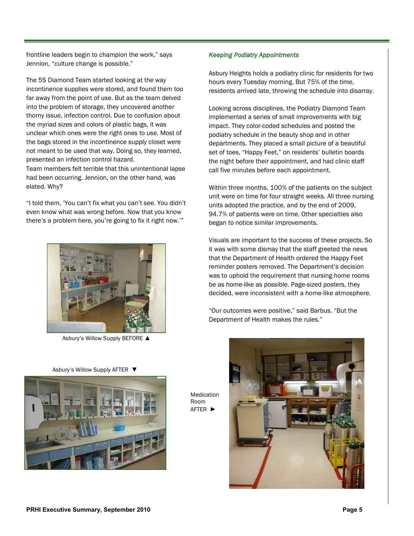frontline leaders begin to champion the work," says Jennion, "culture change is possible."

The 5S Diamond Team started looking at the way incontinence supplies were stored, and found them too far away from the point of use. But as the team delved into the problem of storage, they uncovered another thorny issue, infection control. Due to confusion about the myriad sizes and colors of plastic bags, it was unclear which ones were the right ones to use. Most of the bags stored in the incontinence supply closet were not meant to be used that way. Doing so, they learned, presented an infection control hazard.

Team members felt terrible that this unintentional lapse had been occurring. Jennion, on the other hand, was elated. Why?

―I told them, ‗You can't fix what you can't see. You didn't even know what was wrong before. Now that you know there's a problem here, you're going to fix it right now.'"



Asbury's Willow Supply BEFORE ▲

Asbury's Willow Supply AFTER ▼



*Keeping Podiatry Appointments* 

Asbury Heights holds a podiatry clinic for residents for two hours every Tuesday morning. But 75% of the time, residents arrived late, throwing the schedule into disarray.

Looking across disciplines, the Podiatry Diamond Team implemented a series of small improvements with big impact. They color-coded schedules and posted the podiatry schedule in the beauty shop and in other departments. They placed a small picture of a beautiful set of toes, "Happy Feet," on residents' bulletin boards the night before their appointment, and had clinic staff call five minutes before each appointment.

Within three months, 100% of the patients on the subject unit were on time for four straight weeks. All three nursing units adopted the practice, and by the end of 2009, 94.7% of patients were on time. Other specialties also began to notice similar improvements.

Visuals are important to the success of these projects. So it was with some dismay that the staff greeted the news that the Department of Health ordered the Happy Feet reminder posters removed. The Department's decision was to uphold the requirement that nursing home rooms be as home-like as possible. Page-sized posters, they decided, were inconsistent with a home-like atmosphere.

"Our outcomes were positive," said Barbus. "But the Department of Health makes the rules."



Room AFTER ►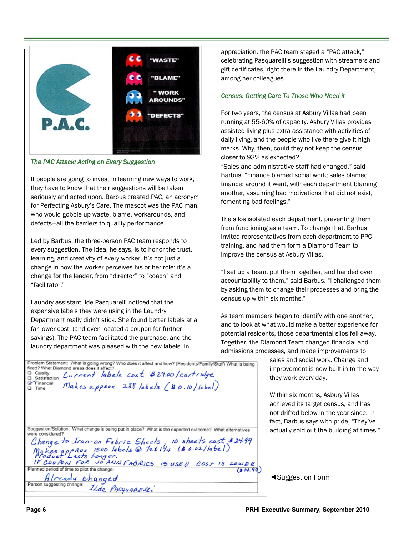

#### *The PAC Attack: Acting on Every Suggestion*

If people are going to invest in learning new ways to work, they have to know that their suggestions will be taken seriously and acted upon. Barbus created PAC, an acronym for Perfecting Asbury's Care. The mascot was the PAC man, who would gobble up waste, blame, workarounds, and defects—all the barriers to quality performance.

Led by Barbus, the three-person PAC team responds to every suggestion. The idea, he says, is to honor the trust, learning, and creativity of every worker. It's not just a change in how the worker perceives his or her role: it's a change for the leader, from "director" to "coach" and ―facilitator.‖

Laundry assistant Ilde Pasquarelli noticed that the expensive labels they were using in the Laundry Department really didn't stick. She found better labels at a far lower cost, (and even located a coupon for further savings). The PAC team facilitated the purchase, and the laundry department was pleased with the new labels. In

Q Quality Current labels cost #29.00/cartridge

fixed? What Diamond areas does it affect?

appreciation, the PAC team staged a "PAC attack," celebrating Pasquarelli's suggestion with streamers and gift certificates, right there in the Laundry Department, among her colleagues.

#### *Census: Getting Care To Those Who Need it*

For two years, the census at Asbury Villas had been running at 55-60% of capacity. Asbury Villas provides assisted living plus extra assistance with activities of daily living, and the people who live there give it high marks. Why, then, could they not keep the census closer to 93% as expected?

"Sales and administrative staff had changed." said Barbus. "Finance blamed social work; sales blamed finance; around it went, with each department blaming another, assuming bad motivations that did not exist, fomenting bad feelings."

The silos isolated each department, preventing them from functioning as a team. To change that, Barbus invited representatives from each department to PPC training, and had them form a Diamond Team to improve the census at Asbury Villas.

"I set up a team, put them together, and handed over accountability to them," said Barbus. "I challenged them by asking them to change their processes and bring the census up within six months."

As team members began to identify with one another, and to look at what would make a better experience for potential residents, those departmental silos fell away. Together, the Diamond Team changed financial and admissions processes, and made improvements to

> sales and social work. Change and improvement is now built in to the way they work every day.

> Within six months, Asbury Villas achieved its target census, and has not drifted below in the year since. In fact, Barbus says with pride, "They've actually sold out the building at times."

◄Suggestion Form

| Financial<br>Makes appear. 288 labels (\$0.10/label)<br>$\Box$ Time                                                                    |
|----------------------------------------------------------------------------------------------------------------------------------------|
|                                                                                                                                        |
|                                                                                                                                        |
| Suggestion/Solution: What change is being put in place? What is the expected outcome? What alternatives<br>were considered?            |
|                                                                                                                                        |
|                                                                                                                                        |
| Change to Iron-on Fabric Sheets, 10 sheets cost \$24.99<br>Makes approx 1500 labels @ 1/2×11/4 (\$0.02/label)<br>Product Lasts Longer. |
| IF COUPON FOR JO ANN FABRICS IS USED COST IS LOWER                                                                                     |
| Planned period of time to pilot the change:                                                                                            |
| $A$ /ready changed<br>Person suggesting change: $I$                                                                                    |
| ILde PASQUARELLi                                                                                                                       |

Problem Statement: What is going wrong? Who does it affect and how? (Residents/Family/Staff) What is being